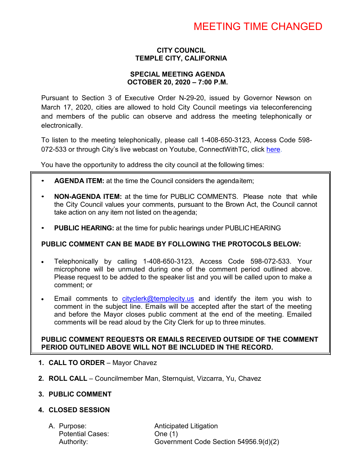# MEETING TIME CHANGED

## **CITY COUNCIL TEMPLE CITY, CALIFORNIA**

### **SPECIAL MEETING AGENDA OCTOBER 20, 2020 – 7:00 P.M.**

Pursuant to Section 3 of Executive Order N-29-20, issued by Governor Newson on March 17, 2020, cities are allowed to hold City Council meetings via teleconferencing and members of the public can observe and address the meeting telephonically or electronically.

To listen to the meeting telephonically, please call 1-408-650-3123, Access Code 598 072-533 or through City's live webcast on Youtube, ConnectWithTC, click [here.](https://www.ci.temple-city.ca.us/516/Meeting-Webcast)

You have the opportunity to address the city council at the following times:

- **AGENDA ITEM:** at the time the Council considers the agendaitem;
- **NON-AGENDA ITEM:** at the time for PUBLIC COMMENTS. Please note that while the City Council values your comments, pursuant to the Brown Act, the Council cannot take action on any item not listed on the agenda;
- **PUBLIC HEARING:** at the time for public hearings under PUBLICHEARING

### **PUBLIC COMMENT CAN BE MADE BY FOLLOWING THE PROTOCOLS BELOW:**

- Telephonically by calling 1-408-650-3123, Access Code 598-072-533. Your microphone will be unmuted during one of the comment period outlined above. Please request to be added to the speaker list and you will be called upon to make a comment; or
- Email comments to  $cityclerk@templectity.us$  and identify the item you wish to comment in the subject line. Emails will be accepted after the start of the meeting and before the Mayor closes public comment at the end of the meeting. Emailed comments will be read aloud by the City Clerk for up to three minutes.

### **PUBLIC COMMENT REQUESTS OR EMAILS RECEIVED OUTSIDE OF THE COMMENT PERIOD OUTLINED ABOVE WILL NOT BE INCLUDED IN THE RECORD.**

- **1. CALL TO ORDER**  Mayor Chavez
- **2. ROLL CALL**  Councilmember Man, Sternquist, Vizcarra, Yu, Chavez
- **3. PUBLIC COMMENT**

## **4. CLOSED SESSION**

Potential Cases: One (1)

A. Purpose: **Anticipated Litigation** Authority: Government Code Section 54956.9(d)(2)